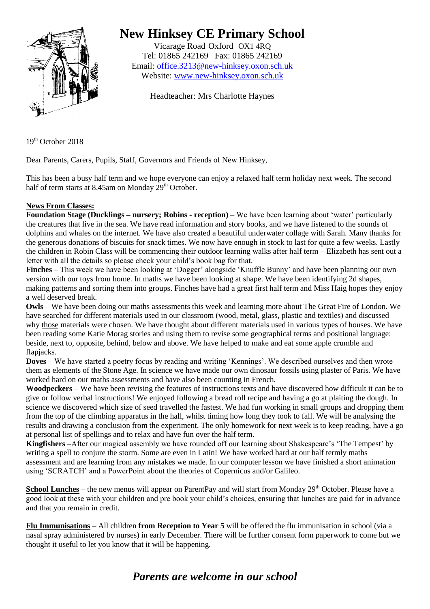

## **New Hinksey CE Primary School**

Vicarage Road Oxford OX1 4RQ Tel: 01865 242169 Fax: 01865 242169 Email: [office.3213@new-hinksey.oxon.sch.uk](mailto:office.3213@new-hinksey.oxon.sch.uk) Website: [www.new-hinksey.oxon.sch.uk](http://www.new-hinksey.oxon.sch.uk/)

Headteacher: Mrs Charlotte Haynes

19<sup>th</sup> October 2018

Dear Parents, Carers, Pupils, Staff, Governors and Friends of New Hinksey,

This has been a busy half term and we hope everyone can enjoy a relaxed half term holiday next week. The second half of term starts at 8.45am on Monday  $29<sup>th</sup>$  October.

## **News From Classes:**

**Foundation Stage (Ducklings – nursery; Robins - reception)** – We have been learning about 'water' particularly the creatures that live in the sea. We have read information and story books, and we have listened to the sounds of dolphins and whales on the internet. We have also created a beautiful underwater collage with Sarah. Many thanks for the generous donations of biscuits for snack times. We now have enough in stock to last for quite a few weeks. Lastly the children in Robin Class will be commencing their outdoor learning walks after half term – Elizabeth has sent out a letter with all the details so please check your child's book bag for that.

**Finches** – This week we have been looking at 'Dogger' alongside 'Knuffle Bunny' and have been planning our own version with our toys from home. In maths we have been looking at shape. We have been identifying 2d shapes, making patterns and sorting them into groups. Finches have had a great first half term and Miss Haig hopes they enjoy a well deserved break.

**Owls** – We have been doing our maths assessments this week and learning more about The Great Fire of London. We have searched for different materials used in our classroom (wood, metal, glass, plastic and textiles) and discussed why those materials were chosen. We have thought about different materials used in various types of houses. We have been reading some Katie Morag stories and using them to revise some geographical terms and positional language: beside, next to, opposite, behind, below and above. We have helped to make and eat some apple crumble and flapjacks.

**Doves** – We have started a poetry focus by reading and writing 'Kennings'. We described ourselves and then wrote them as elements of the Stone Age. In science we have made our own dinosaur fossils using plaster of Paris. We have worked hard on our maths assessments and have also been counting in French.

**Woodpeckers** – We have been revising the features of instructions texts and have discovered how difficult it can be to give or follow verbal instructions! We enjoyed following a bread roll recipe and having a go at plaiting the dough. In science we discovered which size of seed travelled the fastest. We had fun working in small groups and dropping them from the top of the climbing apparatus in the hall, whilst timing how long they took to fall. We will be analysing the results and drawing a conclusion from the experiment. The only homework for next week is to keep reading, have a go at personal list of spellings and to relax and have fun over the half term.

**Kingfishers** –After our magical assembly we have rounded off our learning about Shakespeare's 'The Tempest' by writing a spell to conjure the storm. Some are even in Latin! We have worked hard at our half termly maths assessment and are learning from any mistakes we made. In our computer lesson we have finished a short animation using 'SCRATCH' and a PowerPoint about the theories of Copernicus and/or Galileo.

**School Lunches** – the new menus will appear on ParentPay and will start from Monday 29<sup>th</sup> October. Please have a good look at these with your children and pre book your child's choices, ensuring that lunches are paid for in advance and that you remain in credit.

**Flu Immunisations** – All children **from Reception to Year 5** will be offered the flu immunisation in school (via a nasal spray administered by nurses) in early December. There will be further consent form paperwork to come but we thought it useful to let you know that it will be happening.

## *Parents are welcome in our school*